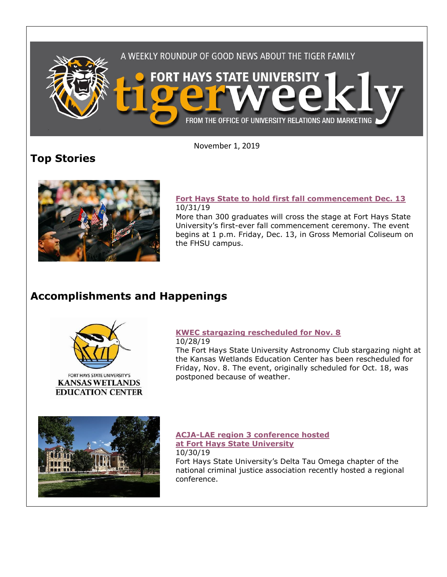

November 1, 2019

# **Top Stories**



### **[Fort Hays State to hold first fall](https://www.fhsu.edu/news/2019/10/fort-hays-state-to-hold-first-fall-commencement-dec.-13) commencement Dec. 13** 10/31/19

More than 300 graduates will cross the stage at Fort Hays State University's first-ever fall commencement ceremony. The event begins at 1 p.m. Friday, Dec. 13, in Gross Memorial Coliseum on the FHSU campus.

## **Accomplishments and Happenings**





## **[KWEC stargazing rescheduled for Nov. 8](https://www.fhsu.edu/news/2019/10/kwec-stargazing-rescheduled-for-nov.8)**

10/28/19 The Fort Hays State University Astronomy Club stargazing night at the Kansas Wetlands Education Center has been rescheduled for Friday, Nov. 8. The event, originally scheduled for Oct. 18, was postponed because of weather.



### **[ACJA-LAE region 3 conference hosted](https://www.fhsu.edu/news/2019/10/acja-lae-region-3-conference-hosted-at-fort-hays-state-university)  [at Fort Hays State University](https://www.fhsu.edu/news/2019/10/acja-lae-region-3-conference-hosted-at-fort-hays-state-university)** 10/30/19

Fort Hays State University's Delta Tau Omega chapter of the national criminal justice association recently hosted a regional conference.